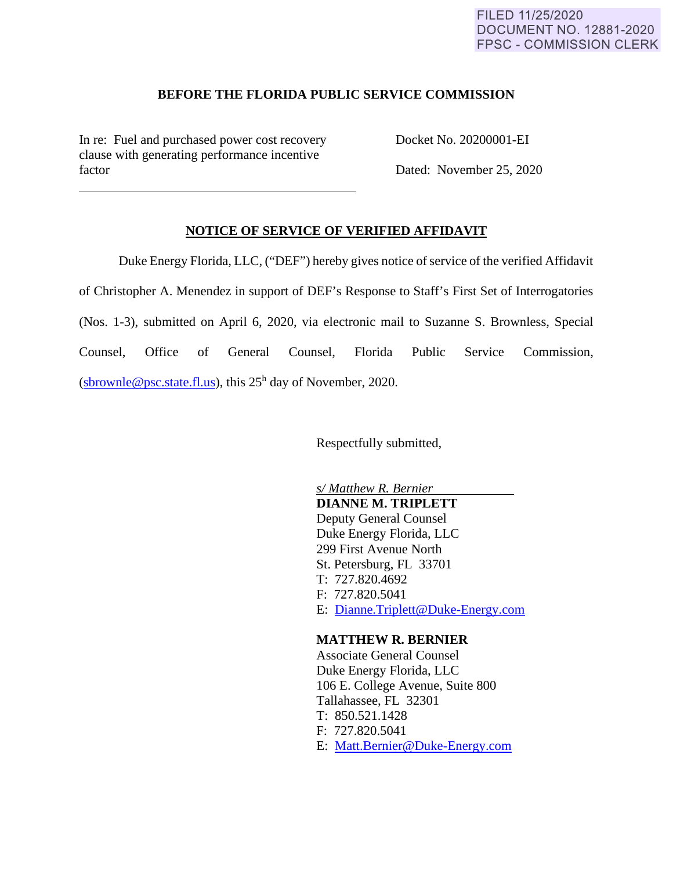### FILED 11/25/2020 **DOCUMENT NO. 12881-2020 FPSC - COMMISSION CLERK**

#### **BEFORE THE FLORIDA PUBLIC SERVICE COMMISSION**

In re: Fuel and purchased power cost recovery Docket No. 20200001-EI clause with generating performance incentive factor Dated: November 25, 2020

 $\overline{a}$ 

# **NOTICE OF SERVICE OF VERIFIED AFFIDAVIT**

Duke Energy Florida, LLC, ("DEF") hereby gives notice of service of the verified Affidavit of Christopher A. Menendez in support of DEF's Response to Staff's First Set of Interrogatories (Nos. 1-3), submitted on April 6, 2020, via electronic mail to Suzanne S. Brownless, Special Counsel, Office of General Counsel, Florida Public Service Commission, (sbrownle@psc.state.fl.us), this  $25<sup>h</sup>$  day of November, 2020.

Respectfully submitted,

 *s/ Matthew R. Bernier*  **DIANNE M. TRIPLETT** Deputy General Counsel Duke Energy Florida, LLC 299 First Avenue North St. Petersburg, FL 33701 T: 727.820.4692 F: 727.820.5041 E: Dianne.Triplett@Duke-Energy.com

#### **MATTHEW R. BERNIER**

 Associate General Counsel Duke Energy Florida, LLC 106 E. College Avenue, Suite 800 Tallahassee, FL 32301 T: 850.521.1428 F: 727.820.5041 E: Matt.Bernier@Duke-Energy.com